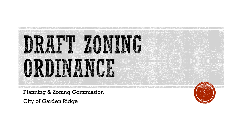

Planning & Zoning Commission

City of Garden Ridge

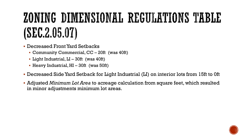## ZONING DIMENSIONAL REGULATIONS TABLE (SEC.2.05.07)

- Decreased Front Yard Setbacks
	- Community Commercial, CC 20ft (was 40ft)
	- Light Industrial,  $LI 30ft$  (was  $40ft$ )
	- $\blacksquare$  Heavy Industrial, HI 30ft (was 50ft)
- Decreased Side Yard Setback for Light Industrial (LI) on interior lots from 15ft to 0ft
- Adjusted *Minimum Lot Area* to acreage calculation from square feet, which resulted in minor adjustments minimum lot areas.

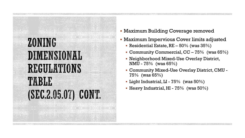#### ZONING DIMENSIONAL REGULATIONS TABLE (SEC.2.05.07) CONT.

- Maximum Building Coverage removed
- Maximum Impervious Cover limits adjusted
	- Residential Estate,  $RE 50\%$  (was  $35\%$ )
	- Community Commercial,  $CC 75\%$  (was  $65\%)$
	- Neighborhood Mixed-Use Overlay District, NMU - 75% (was 65%)
	- Community Mixed-Use Overlay District, CMU 75% (was 65%)
	- **Light Industrial, LI 75%** (was  $50\%$ )
	- **Heavy Industrial, HI 75%** (was  $50\%$ )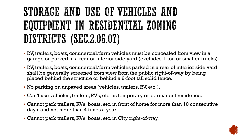#### STORAGE AND USE OF VEHICLES AND EQUIPMENT IN RESIDENTIAL ZONING DISTRICTS (SEC.2.06.07)

- RV, trailers, boats, commercial/farm vehicles must be concealed from view in a garage or parked in a rear or interior side yard (excludes 1-ton or smaller trucks).
- RV, trailers, boats, commercial/farm vehicles parked in a rear of interior side yard shall be generally screened from view from the public right-of-way by being placed behind the structure or behind a 6-foot tall solid fence.
- No parking on unpaved areas (vehicles, trailers, RV, etc.).
- Can't use vehicles, trailers, RVs, etc. as temporary or permanent residence.
- Cannot park trailers, RVs, boats, etc. in front of home for more than 10 consecutive days, and not more than 4 times a year.
- Cannot park trailers, RVs, boats, etc. in City right-of-way.

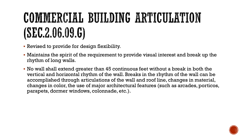## COMMERCIAL BUILDING ARTICULATION (SEC.2.06.09.G)

- Revised to provide for design flexibility.
- Maintains the spirit of the requirement to provide visual interest and break up the rhythm of long walls.
- No wall shall extend greater than 45 continuous feet without a break in both the vertical and horizontal rhythm of the wall. Breaks in the rhythm of the wall can be accomplished through articulations of the wall and roof line, changes in material, changes in color, the use of major architectural features (such as arcades, porticos, parapets, dormer windows, colonnade, etc.).

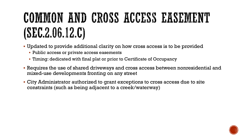## COMMON AND CROSS ACCESS EASEMENT (SEC.2.06.12.C)

- Updated to provide additional clarity on how cross access is to be provided
	- Public access or private access easements
	- Timing: dedicated with final plat or prior to Certificate of Occupancy
- Requires the use of shared driveways and cross access between nonresidential and mixed-use developments fronting on any street
- City Administrator authorized to grant exceptions to cross access due to site constraints (such as being adjacent to a creek/waterway)

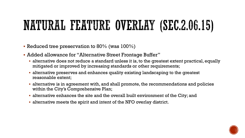#### NATURAL FEATURE OVERLAY (SEC.2.06.15)

- Reduced tree preservation to 80% (was  $100\%$ )
- Added allowance for "Alternative Street Frontage Buffer"
	- alternative does not reduce a standard unless it is, to the greatest extent practical, equally mitigated or improved by increasing standards or other requirements;
	- alternative preserves and enhances quality existing landscaping to the greatest reasonable extent;
	- alternative is in agreement with, and shall promote, the recommendations and policies within the City's Comprehensive Plan;
	- alternative enhances the site and the overall built environment of the City; and
	- alternative meets the spirit and intent of the NFO overlay district.